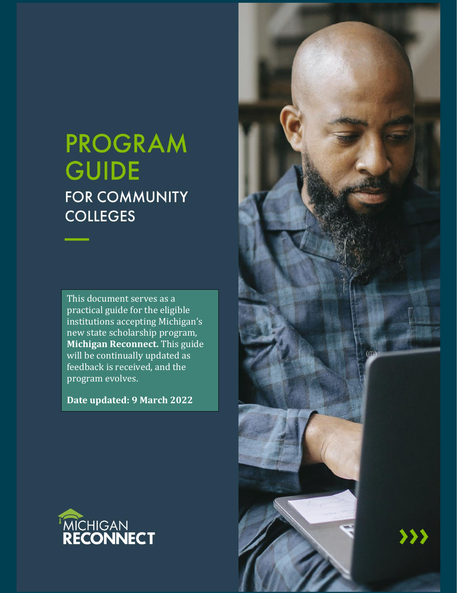# **PROGRAM GUIDE FOR COMMUNITY COLLEGES**

This document serves as a practical guide for the eligible institutions accepting Michigan's new state scholarship program, **Michigan Reconnect.** This guide will be continually updated as feedback is received, and the program evolves.

**Date updated: 9 March 2022**



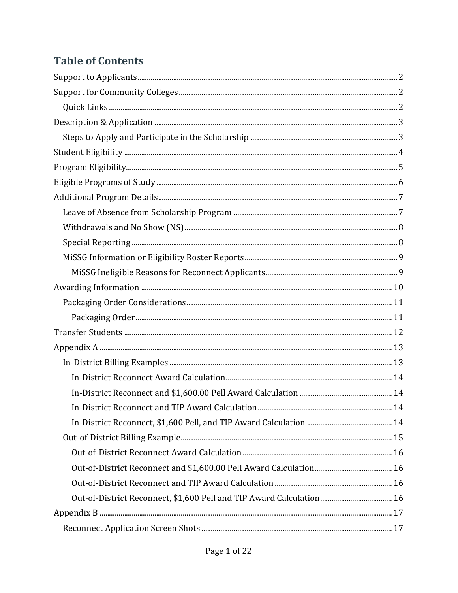### **Table of Contents**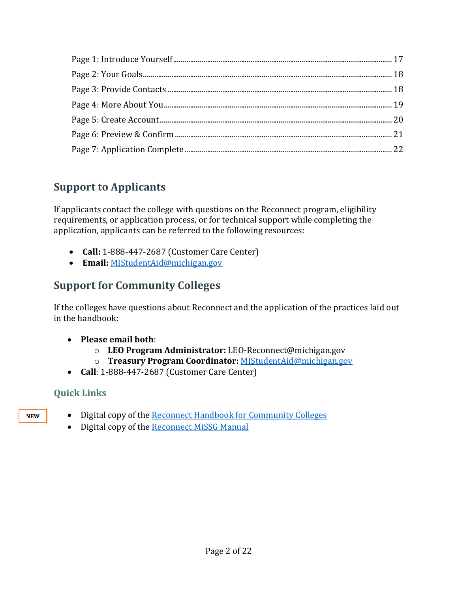### <span id="page-2-0"></span>**Support to Applicants**

If applicants contact the college with questions on the Reconnect program, eligibility requirements, or application process, or for technical support while completing the application, applicants can be referred to the following resources:

- **Call:** 1-888-447-2687 (Customer Care Center)
- **Email:** <MIStudentAid@michigan.gov>

### <span id="page-2-1"></span>**Support for Community Colleges**

If the colleges have questions about Reconnect and the application of the practices laid out in the handbook:

- **Please email both**:
	- o **LEO Program Administrator:** LEO-Reconnect@michigan.gov
	- o **Treasury Program Coordinator:** [MIStudentAid@michigan.gov](mailto:MIStudentAid@michigan.gov)
- **Call**: 1-888-447-2687 (Customer Care Center)

### <span id="page-2-2"></span>**Quick Links**

**NEW**

- Digital copy of the **Reconnect Handbook for Community Colleges** 
	- Digital copy of the [Reconnect MiSSG Manual](https://michigan.gov/documents/mistudentaid/Reconnect_MiSSG_Manual_724730_7.pdf)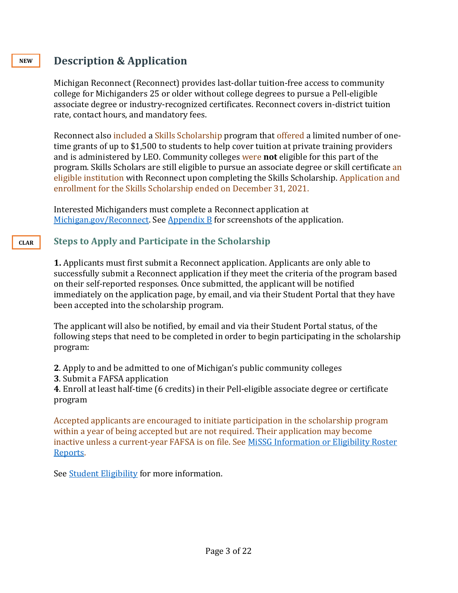### <span id="page-3-0"></span>**Description & Application**

Michigan Reconnect (Reconnect) provides last-dollar tuition-free access to community college for Michiganders 25 or older without college degrees to pursue a Pell-eligible associate degree or industry-recognized certificates. Reconnect covers in-district tuition rate, contact hours, and mandatory fees.

Reconnect also included a [Skills Scholarship](https://www.michigan.gov/reconnect/0,9968,7-417-102950---,00.html) program that offered a limited number of onetime grants of up to \$1,500 to students to help cover tuition at private training providers and is administered by LEO. Community colleges were **not** eligible for this part of the program. Skills Scholars are still eligible to pursue an associate degree or skill certificate an eligible institution with Reconnect upon completing the Skills Scholarship. Application and enrollment for the Skills Scholarship ended on December 31, 2021.

Interested Michiganders must complete a Reconnect application at [Michigan.gov/Reconnect.](http://www.michigan.gov/Reconnect) Se[e Appendix B](#page-17-0) for screenshots of the application.

#### **Steps to Apply and Participate in the Scholarship CLAR**

<span id="page-3-1"></span>**1.** Applicants must first submit a Reconnect application. Applicants are only able to successfully submit a Reconnect application if they meet the criteria of the program based on their self-reported responses. Once submitted, the applicant will be notified immediately on the application page, by email, and via their Student Portal that they have been accepted into the scholarship program.

The applicant will also be notified, by email and via their Student Portal status, of the following steps that need to be completed in order to begin participating in the scholarship program:

**2**. Apply to and be admitted to one of Michigan's public community colleges

**3**. Submit a FAFSA application

**4**. Enroll at least half-time (6 credits) in their Pell-eligible associate degree or certificate program

Accepted applicants are encouraged to initiate participation in the scholarship program within a year of being accepted but are not required. Their application may become inactive unless a current-year FAFSA is on file. See MiSSG Information [or Eligibility Roster](#page-9-0) [Reports.](#page-9-0)

See [Student Eligibility](#page-4-0) for more information.

#### **NEW**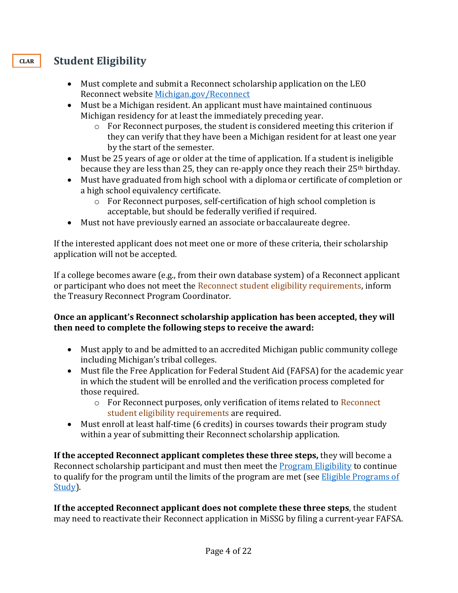### **Student Eligibility**

- <span id="page-4-0"></span>• Must complete and submit a Reconnect scholarship application on the LEO Reconnect website [Michigan.gov/Reconnect](file:///C:/Users/lisadavis6/AppData/Local/Microsoft/Windows/INetCache/Content.Outlook/3IFSMLBG/Michigan.gov/Reconnect)
- Must be a Michigan resident. An applicant must have maintained continuous Michigan residency for at least the immediately preceding year.
	- o For Reconnect purposes, the student is considered meeting this criterion if they can verify that they have been a Michigan resident for at least one year by the start of the semester.
- Must be 25 years of age or older at the time of application. If a student is ineligible because they are less than 25, they can re-apply once they reach their 25<sup>th</sup> birthday.
- Must have graduated from high school with a diploma or certificate of completion or a high school equivalency certificate.
	- $\circ$  For Reconnect purposes, self-certification of high school completion is acceptable, but should be federally verified if required.
- Must not have previously earned an associate or baccalaureate degree.

If the interested applicant does not meet one or more of these criteria, their scholarship application will not be accepted.

If a college becomes aware (e.g., from their own database system) of a Reconnect applicant or participant who does not meet the Reconnect student eligibility requirements, inform the Treasury Reconnect Program Coordinator.

#### **Once an applicant's Reconnect scholarship application has been accepted, they will then need to complete the following steps to receive the award:**

- Must apply to and be admitted to an accredited Michigan public community college including Michigan's tribal colleges.
- Must file the Free Application for Federal Student Aid (FAFSA) for the academic year in which the student will be enrolled and the verification process completed for those required.
	- $\circ$  For Reconnect purposes, only verification of items related to Reconnect student eligibility requirements are required.
- Must enroll at least half-time (6 credits) in courses towards their program study within a year of submitting their Reconnect scholarship application.

**If the accepted Reconnect applicant completes these three steps,** they will become a Reconnect scholarship participant and must then meet the [Program Eligibility](#page-5-0) to continue to qualify for the program until the limits of the program are met (see **Eligible Programs of** [Study\)](#page-6-0).

**If the accepted Reconnect applicant does not complete these three steps**, the student may need to reactivate their Reconnect application in MiSSG by filing a current-year FAFSA.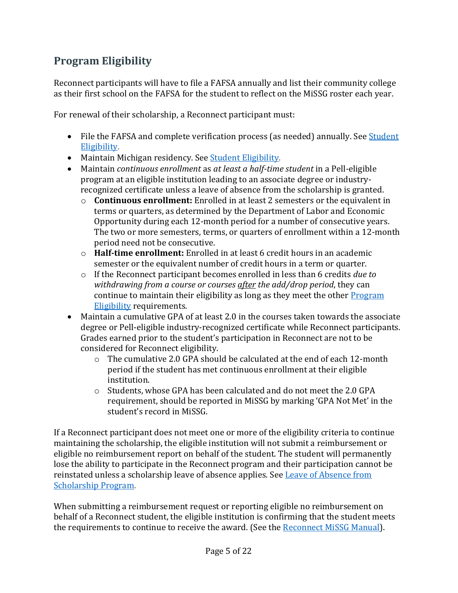### <span id="page-5-0"></span>**Program Eligibility**

Reconnect participants will have to file a FAFSA annually and list their community college as their first school on the FAFSA for the student to reflect on the MiSSG roster each year.

For renewal of their scholarship, a Reconnect participant must:

- File the FAFSA and complete verification process (as needed) annually. See Student [Eligibility.](#page-4-0)
- Maintain Michigan residency. See [Student Eligibility.](#page-4-0)
- Maintain *continuous enrollment* as *at least a half-time student* in a Pell-eligible program at an eligible institution leading to an associate degree or industryrecognized certificate unless a leave of absence from the scholarship is granted.
	- o **Continuous enrollment:** Enrolled in at least 2 semesters or the equivalent in terms or quarters, as determined by the Department of Labor and Economic Opportunity during each 12-month period for a number of consecutive years. The two or more semesters, terms, or quarters of enrollment within a 12-month period need not be consecutive.
	- o **Half-time enrollment:** Enrolled in at least 6 credit hours in an academic semester or the equivalent number of credit hours in a term or quarter.
	- o If the Reconnect participant becomes enrolled in less than 6 credits *due to withdrawing from a course or courses after the add/drop period*, they can continue to maintain their eligibility as long as they meet the other **Program** Eligibility requirements.
- Maintain a cumulative GPA of at least 2.0 in the courses taken towards the associate degree or Pell-eligible industry-recognized certificate while Reconnect participants. Grades earned prior to the student's participation in Reconnect are not to be considered for Reconnect eligibility.
	- o The cumulative 2.0 GPA should be calculated at the end of each 12-month period if the student has met continuous enrollment at their eligible institution.
	- o Students, whose GPA has been calculated and do not meet the 2.0 GPA requirement, should be reported in MiSSG by marking 'GPA Not Met' in the student's record in MiSSG.

If a Reconnect participant does not meet one or more of the eligibility criteria to continue maintaining the scholarship, the eligible institution will not submit a reimbursement or eligible no reimbursement report on behalf of the student. The student will permanently lose the ability to participate in the Reconnect program and their participation cannot be reinstated unless a scholarship leave of absence applies. See [Leave of Absence from](#page-7-1)  [Scholarship Program.](#page-7-1)

When submitting a reimbursement request or reporting eligible no reimbursement on behalf of a Reconnect student, the eligible institution is confirming that the student meets the requirements to continue to receive the award. (See the [Reconnect MiSSG Manual\)](https://www.michigan.gov/documents/mistudentaid/Reconnect_MiSSG_Manual_724730_7.pdf).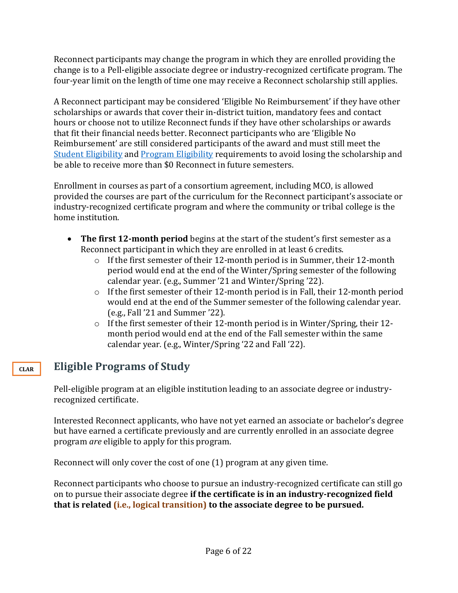Reconnect participants may change the program in which they are enrolled providing the change is to a Pell-eligible associate degree or industry-recognized certificate program. The four-year limit on the length of time one may receive a Reconnect scholarship still applies.

A Reconnect participant may be considered 'Eligible No Reimbursement' if they have other scholarships or awards that cover their in-district tuition, mandatory fees and contact hours or choose not to utilize Reconnect funds if they have other scholarships or awards that fit their financial needs better. Reconnect participants who are 'Eligible No Reimbursement' are still considered participants of the award and must still meet the [Student Eligibility](#page-4-0) and [Program Eligibility](#page-5-0) requirements to avoid losing the scholarship and be able to receive more than \$0 Reconnect in future semesters.

Enrollment in courses as part of a consortium agreement, including MCO, is allowed provided the courses are part of the curriculum for the Reconnect participant's associate or industry-recognized certificate program and where the community or tribal college is the home institution.

- **The first 12-month period** begins at the start of the student's first semester as a Reconnect participant in which they are enrolled in at least 6 credits.
	- o If the first semester of their 12-month period is in Summer, their 12-month period would end at the end of the Winter/Spring semester of the following calendar year. (e.g., Summer '21 and Winter/Spring '22).
	- o If the first semester of their 12-month period is in Fall, their 12-month period would end at the end of the Summer semester of the following calendar year. (e.g., Fall '21 and Summer '22).
	- o If the first semester of their 12-month period is in Winter/Spring, their 12 month period would end at the end of the Fall semester within the same calendar year. (e.g., Winter/Spring '22 and Fall '22).

### **Eligible Programs of Study**

**CLAR**

<span id="page-6-0"></span>Pell-eligible program at an eligible institution leading to an associate degree or industryrecognized certificate.

Interested Reconnect applicants, who have not yet earned an associate or bachelor's degree but have earned a certificate previously and are currently enrolled in an associate degree program *are* eligible to apply for this program.

Reconnect will only cover the cost of one (1) program at any given time.

Reconnect participants who choose to pursue an industry-recognized certificate can still go on to pursue their associate degree **if the certificate is in an industry-recognized field that is related (i.e., logical transition) to the associate degree to be pursued.**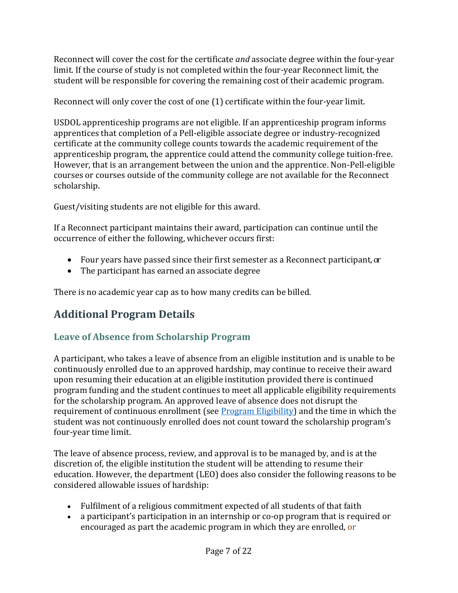Reconnect will cover the cost for the certificate *and* associate degree within the four-year limit. If the course of study is not completed within the four-year Reconnect limit, the student will be responsible for covering the remaining cost of their academic program.

Reconnect will only cover the cost of one (1) certificate within the four-year limit.

USDOL apprenticeship programs are not eligible. If an apprenticeship program informs apprentices that completion of a Pell-eligible associate degree or industry-recognized certificate at the community college counts towards the academic requirement of the apprenticeship program, the apprentice could attend the community college tuition-free. However, that is an arrangement between the union and the apprentice. Non-Pell-eligible courses or courses outside of the community college are not available for the Reconnect scholarship.

Guest/visiting students are not eligible for this award.

If a Reconnect participant maintains their award, participation can continue until the occurrence of either the following, whichever occurs first:

- Four years have passed since their first semester as a Reconnect participant,or
- The participant has earned an associate degree

There is no academic year cap as to how many credits can be billed.

### <span id="page-7-0"></span>**Additional Program Details**

### <span id="page-7-1"></span>**Leave of Absence from Scholarship Program**

A participant, who takes a leave of absence from an eligible institution and is unable to be continuously enrolled due to an approved hardship, may continue to receive their award upon resuming their education at an eligible institution provided there is continued program funding and the student continues to meet all applicable eligibility requirements for the scholarship program. An approved leave of absence does not disrupt the requirement of continuous enrollment (see  $Program$  Eligibility) and the time in which the student was not continuously enrolled does not count toward the scholarship program's four-year time limit.

The leave of absence process, review, and approval is to be managed by, and is at the discretion of, the eligible institution the student will be attending to resume their education. However, the department (LEO) does also consider the following reasons to be considered allowable issues of hardship:

- Fulfilment of a religious commitment expected of all students of that faith
- a participant's participation in an internship or co-op program that is required or encouraged as part the academic program in which they are enrolled, or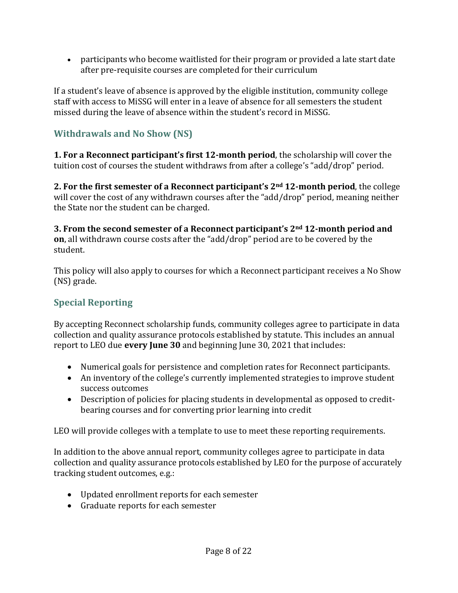• participants who become waitlisted for their program or provided a late start date after pre-requisite courses are completed for their curriculum

If a student's leave of absence is approved by the eligible institution, community college staff with access to MiSSG will enter in a leave of absence for all semesters the student missed during the leave of absence within the student's record in MiSSG.

### <span id="page-8-0"></span>**Withdrawals and No Show (NS)**

**1. For a Reconnect participant's first 12-month period**, the scholarship will cover the tuition cost of courses the student withdraws from after a college's "add/drop" period.

**2. For the first semester of a Reconnect participant's 2nd 12-month period**, the college will cover the cost of any withdrawn courses after the "add/drop" period, meaning neither the State nor the student can be charged.

**3. From the second semester of a Reconnect participant's 2nd 12-month period and on**, all withdrawn course costs after the "add/drop" period are to be covered by the student.

This policy will also apply to courses for which a Reconnect participant receives a No Show (NS) grade.

### <span id="page-8-1"></span>**Special Reporting**

By accepting Reconnect scholarship funds, community colleges agree to participate in data collection and quality assurance protocols established by statute. This includes an annual report to LEO due **every June 30** and beginning June 30, 2021 that includes:

- Numerical goals for persistence and completion rates for Reconnect participants.
- An inventory of the college's currently implemented strategies to improve student success outcomes
- Description of policies for placing students in developmental as opposed to creditbearing courses and for converting prior learning into credit

LEO will provide colleges with a template to use to meet these reporting requirements.

In addition to the above annual report, community colleges agree to participate in data collection and quality assurance protocols established by LEO for the purpose of accurately tracking student outcomes, e.g.:

- Updated enrollment reports for each semester
- Graduate reports for each semester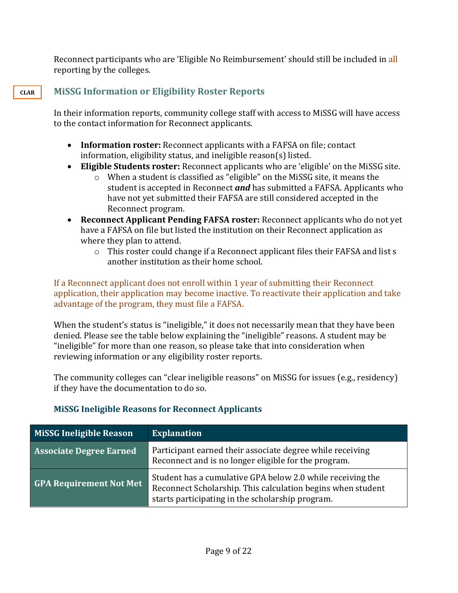Reconnect participants who are 'Eligible No Reimbursement' should still be included in all reporting by the colleges.

### **MiSSG Information or Eligibility Roster Reports**

<span id="page-9-0"></span>In their information reports, community college staff with access to MiSSG will have access to the contact information for Reconnect applicants.

- **Information roster:** Reconnect applicants with a FAFSA on file; contact information, eligibility status, and ineligible reason(s) listed.
- **Eligible Students roster:** Reconnect applicants who are 'eligible' on the MiSSG site.
	- o When a student is classified as "eligible" on the MiSSG site, it means the student is accepted in Reconnect *and* has submitted a FAFSA. Applicants who have not yet submitted their FAFSA are still considered accepted in the Reconnect program.
- **Reconnect Applicant Pending FAFSA roster:** Reconnect applicants who do not yet have a FAFSA on file but listed the institution on their Reconnect application as where they plan to attend.
	- o This roster could change if a Reconnect applicant files their FAFSA and list s another institution as their home school.

If a Reconnect applicant does not enroll within 1 year of submitting their Reconnect application, their application may become inactive. To reactivate their application and take advantage of the program, they must file a FAFSA.

When the student's status is "ineligible," it does not necessarily mean that they have been denied. Please see the table below explaining the "ineligible" reasons. A student may be "ineligible" for more than one reason, so please take that into consideration when reviewing information or any eligibility roster reports.

The community colleges can "clear ineligible reasons" on MiSSG for issues (e.g., residency) if they have the documentation to do so.

| <b>MiSSG Ineligible Reason</b> | <b>Explanation</b>                                                                                                                                                            |
|--------------------------------|-------------------------------------------------------------------------------------------------------------------------------------------------------------------------------|
| <b>Associate Degree Earned</b> | Participant earned their associate degree while receiving<br>Reconnect and is no longer eligible for the program.                                                             |
| <b>GPA Requirement Not Met</b> | Student has a cumulative GPA below 2.0 while receiving the<br>Reconnect Scholarship. This calculation begins when student<br>starts participating in the scholarship program. |

#### <span id="page-9-1"></span>**MiSSG Ineligible Reasons for Reconnect Applicants**

#### **CLAR**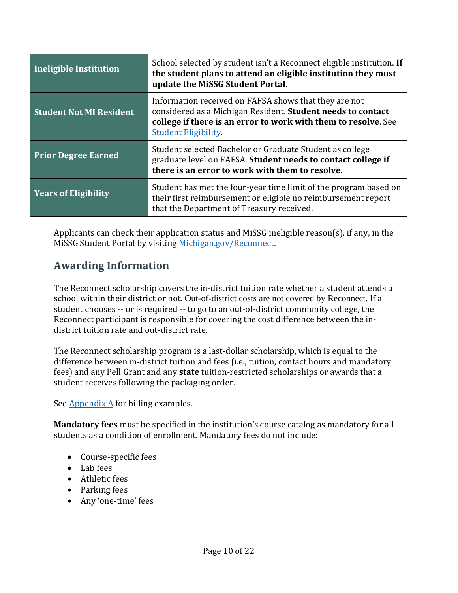| Ineligible Institution         | School selected by student isn't a Reconnect eligible institution. If<br>the student plans to attend an eligible institution they must<br>update the MiSSG Student Portal.                                            |
|--------------------------------|-----------------------------------------------------------------------------------------------------------------------------------------------------------------------------------------------------------------------|
| <b>Student Not MI Resident</b> | Information received on FAFSA shows that they are not<br>considered as a Michigan Resident. Student needs to contact<br>college if there is an error to work with them to resolve. See<br><b>Student Eligibility.</b> |
| <b>Prior Degree Earned</b>     | Student selected Bachelor or Graduate Student as college<br>graduate level on FAFSA. Student needs to contact college if<br>there is an error to work with them to resolve.                                           |
| <b>Years of Eligibility</b>    | Student has met the four-year time limit of the program based on<br>their first reimbursement or eligible no reimbursement report<br>that the Department of Treasury received.                                        |

Applicants can check their application status and MiSSG ineligible reason(s), if any, in the MiSSG Student Portal by visiting [Michigan.gov/Reconnect.](https://www.michigan.gov/reconnect/0,9968,7-417-102946_104487---,00.html)

### <span id="page-10-0"></span>**Awarding Information**

The Reconnect scholarship covers the in-district tuition rate whether a student attends a school within their district or not. Out-of-district costs are not covered by Reconnect. If a student chooses -- or is required -- to go to an out-of-district community college, the Reconnect participant is responsible for covering the cost difference between the indistrict tuition rate and out-district rate.

The Reconnect scholarship program is a last-dollar scholarship, which is equal to the difference between in-district tuition and fees (i.e., tuition, contact hours and mandatory fees) and any Pell Grant and any **state** tuition-restricted scholarships or awards that a student receives following the packaging order.

See Appendix A for billing examples.

**Mandatory fees** must be specified in the institution's course catalog as mandatory for all students as a condition of enrollment. Mandatory fees do not include:

- Course-specific fees
- Lab fees
- Athletic fees
- Parking fees
- Any 'one-time' fees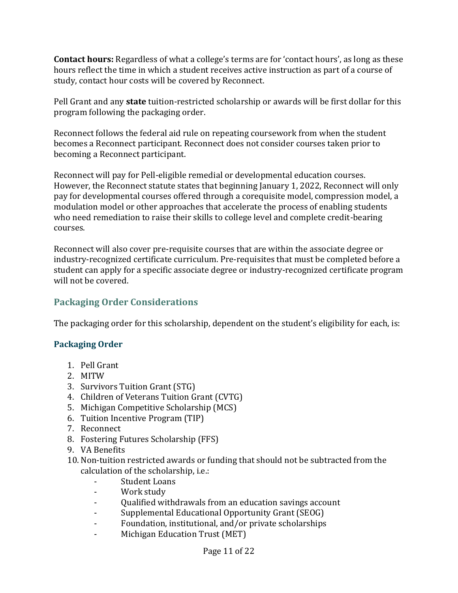**Contact hours:** Regardless of what a college's terms are for 'contact hours', as long as these hours reflect the time in which a student receives active instruction as part of a course of study, contact hour costs will be covered by Reconnect.

Pell Grant and any **state** tuition-restricted scholarship or awards will be first dollar for this program following the packaging order.

Reconnect follows the federal aid rule on repeating coursework from when the student becomes a Reconnect participant. Reconnect does not consider courses taken prior to becoming a Reconnect participant.

Reconnect will pay for Pell-eligible remedial or developmental education courses. However, the Reconnect statute states that beginning January 1, 2022, Reconnect will only pay for developmental courses offered through a corequisite model, compression model, a modulation model or other approaches that accelerate the process of enabling students who need remediation to raise their skills to college level and complete credit-bearing courses.

Reconnect will also cover pre-requisite courses that are within the associate degree or industry-recognized certificate curriculum. Pre-requisites that must be completed before a student can apply for a specific associate degree or industry-recognized certificate program will not be covered.

### <span id="page-11-0"></span>**Packaging Order Considerations**

The packaging order for this scholarship, dependent on the student's eligibility for each, is:

#### <span id="page-11-1"></span>**Packaging Order**

- 1. Pell Grant
- 2. MITW
- 3. Survivors Tuition Grant (STG)
- 4. Children of Veterans Tuition Grant (CVTG)
- 5. Michigan Competitive Scholarship (MCS)
- 6. Tuition Incentive Program (TIP)
- 7. Reconnect
- 8. Fostering Futures Scholarship (FFS)
- 9. VA Benefits
- 10. Non-tuition restricted awards or funding that should not be subtracted from the calculation of the scholarship, i.e.:
	- Student Loans
	- Work study
	- Qualified withdrawals from an education savings account
	- Supplemental Educational Opportunity Grant (SEOG)
	- Foundation, institutional, and/or private scholarships
	- Michigan Education Trust (MET)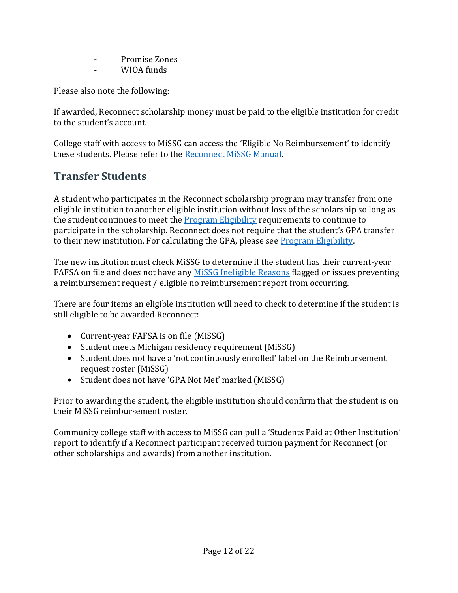- Promise Zones
- WIOA funds

Please also note the following:

If awarded, Reconnect scholarship money must be paid to the eligible institution for credit to the student's account.

College staff with access to MiSSG can access the 'Eligible No Reimbursement' to identify these students. Please refer to the [Reconnect MiSSG Manual.](https://www.michigan.gov/documents/mistudentaid/Reconnect_MiSSG_Manual_724730_7.pdf)

### <span id="page-12-0"></span>**Transfer Students**

A student who participates in the Reconnect scholarship program may transfer from one eligible institution to another eligible institution without loss of the scholarship so long as the student continues to meet the [Program Eligibility](#page-5-0) requirements to continue to participate in the scholarship. Reconnect does not require that the student's GPA transfer to their new institution. For calculating the GPA, please see Program Eligibility.

The new institution must check MiSSG to determine if the student has their current-year FAFSA on file and does not have any [MiSSG Ineligible Reasons](#page-9-1) flagged or issues preventing a reimbursement request / eligible no reimbursement report from occurring.

There are four items an eligible institution will need to check to determine if the student is still eligible to be awarded Reconnect:

- Current-year FAFSA is on file (MiSSG)
- Student meets Michigan residency requirement (MiSSG)
- Student does not have a 'not continuously enrolled' label on the Reimbursement request roster (MiSSG)
- Student does not have 'GPA Not Met' marked (MiSSG)

Prior to awarding the student, the eligible institution should confirm that the student is on their MiSSG reimbursement roster.

Community college staff with access to MiSSG can pull a 'Students Paid at Other Institution' report to identify if a Reconnect participant received tuition payment for Reconnect (or other scholarships and awards) from another institution.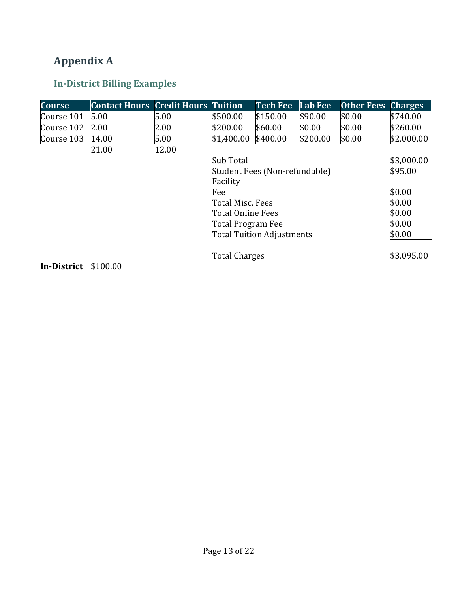## <span id="page-13-0"></span>**Appendix A**

### <span id="page-13-1"></span>**In-District Billing Examples**

| <b>Course</b>             | <b>Contact Hours</b> | <b>Credit Hours</b> | <b>Tuition</b>           | Tech Fee                         | <b>Lab Fee</b> | <b>Other Fees</b> | <b>Charges</b> |
|---------------------------|----------------------|---------------------|--------------------------|----------------------------------|----------------|-------------------|----------------|
| Course 101                | 5.00                 | 5.00                | \$500.00                 | \$150.00                         | \$90.00        | \$0.00            | \$740.00       |
| Course 102                | 2.00                 | 2.00                | \$200.00                 | \$60.00                          | \$0.00         | \$0.00            | \$260.00       |
| Course 103                | 14.00                | 5.00                | \$1,400.00               | \$400.00                         | \$200.00       | \$0.00            | \$2,000.00     |
|                           | 21.00                | 12.00               |                          |                                  |                |                   |                |
|                           |                      |                     | Sub Total                |                                  |                |                   | \$3,000.00     |
|                           |                      |                     |                          | Student Fees (Non-refundable)    |                |                   | \$95.00        |
|                           |                      |                     | Facility                 |                                  |                |                   |                |
|                           |                      |                     | Fee                      |                                  |                |                   | \$0.00         |
|                           |                      |                     | <b>Total Misc. Fees</b>  |                                  |                |                   | \$0.00         |
|                           |                      |                     | <b>Total Online Fees</b> |                                  |                |                   | \$0.00         |
|                           |                      |                     | <b>Total Program Fee</b> |                                  |                |                   | \$0.00         |
|                           |                      |                     |                          | <b>Total Tuition Adjustments</b> |                |                   | \$0.00         |
| In District $\phi$ 100.00 |                      |                     | <b>Total Charges</b>     |                                  |                |                   | \$3,095.00     |

**In-District** \$100.00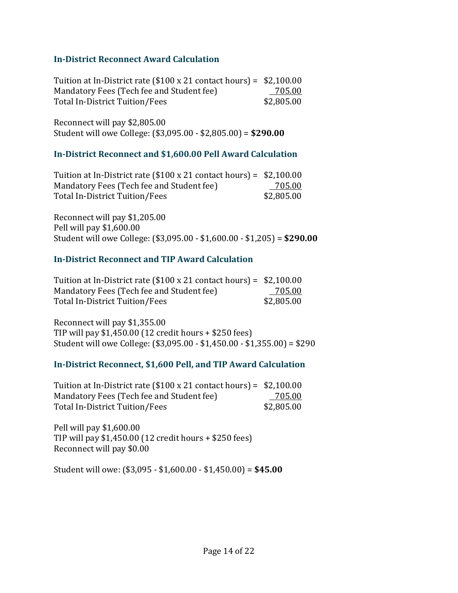#### <span id="page-14-0"></span>**In-District Reconnect Award Calculation**

Tuition at In-District rate (\$100 x 21 contact hours) = \$2,100.00 Mandatory Fees (Tech fee and Student fee) 705.00 Total In-District Tuition/Fees \$2,805.00

Reconnect will pay \$2,805.00 Student will owe College: (\$3,095.00 - \$2,805.00) = **\$290.00**

#### <span id="page-14-1"></span>**In-District Reconnect and \$1,600.00 Pell Award Calculation**

| Tuition at In-District rate $(\$100 \times 21$ contact hours) = $\$2,100.00$ |            |
|------------------------------------------------------------------------------|------------|
| Mandatory Fees (Tech fee and Student fee)                                    | 705.00     |
| Total In-District Tuition/Fees                                               | \$2,805.00 |

Reconnect will pay \$1,205.00 Pell will pay \$1,600.00 Student will owe College: (\$3,095.00 - \$1,600.00 - \$1,205) = **\$290.00**

#### <span id="page-14-2"></span>**In-District Reconnect and TIP Award Calculation**

| Tuition at In-District rate $(\$100 \times 21$ contact hours) = $\$2,100.00$ |            |
|------------------------------------------------------------------------------|------------|
| Mandatory Fees (Tech fee and Student fee)                                    | 705.00     |
| Total In-District Tuition/Fees                                               | \$2,805.00 |

Reconnect will pay \$1,355.00 TIP will pay \$1,450.00 (12 credit hours + \$250 fees) Student will owe College: (\$3,095.00 - \$1,450.00 - \$1,355.00) = \$290

#### <span id="page-14-3"></span>**In-District Reconnect, \$1,600 Pell, and TIP Award Calculation**

| Tuition at In-District rate $(\$100 \times 21$ contact hours) = $\$2,100.00$ |            |
|------------------------------------------------------------------------------|------------|
| Mandatory Fees (Tech fee and Student fee)                                    | 705.00     |
| Total In-District Tuition/Fees                                               | \$2,805.00 |

Pell will pay \$1,600.00 TIP will pay \$1,450.00 (12 credit hours + \$250 fees) Reconnect will pay \$0.00

Student will owe: (\$3,095 - \$1,600.00 - \$1,450.00) = **\$45.00**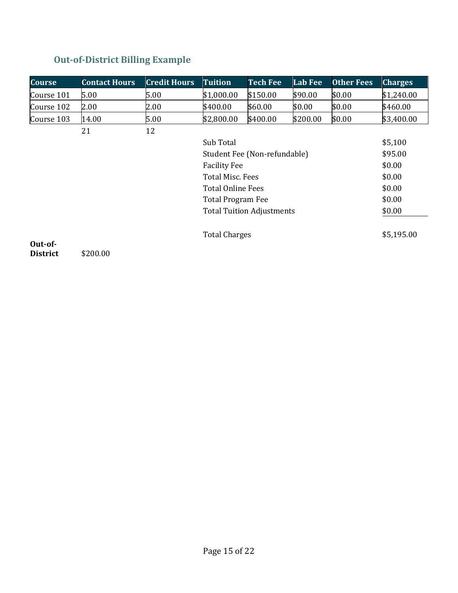### <span id="page-15-0"></span>**Out-of-District Billing Example**

| <b>Course</b>   | <b>Contact Hours</b> | <b>Credit Hours</b> | <b>Tuition</b>           | <b>Tech Fee</b>                  | Lab Fee  | <b>Other Fees</b> | <b>Charges</b> |
|-----------------|----------------------|---------------------|--------------------------|----------------------------------|----------|-------------------|----------------|
| Course 101      | 5.00                 | 5.00                | \$1,000.00               | \$150.00                         | \$90.00  | \$0.00            | \$1,240.00     |
| Course 102      | 2.00                 | 2.00                | \$400.00                 | \$60.00                          | \$0.00   | \$0.00            | \$460.00       |
| Course 103      | 14.00                | 5.00                | \$2,800.00               | \$400.00                         | \$200.00 | \$0.00            | \$3,400.00     |
|                 | 21                   | 12                  |                          |                                  |          |                   |                |
|                 |                      |                     | Sub Total                |                                  |          |                   | \$5,100        |
|                 |                      |                     |                          | Student Fee (Non-refundable)     |          |                   | \$95.00        |
|                 |                      |                     | <b>Facility Fee</b>      |                                  |          |                   | \$0.00         |
|                 |                      |                     | Total Misc. Fees         |                                  |          |                   | \$0.00         |
|                 |                      |                     | <b>Total Online Fees</b> |                                  |          |                   | \$0.00         |
|                 |                      |                     | <b>Total Program Fee</b> |                                  |          |                   | \$0.00         |
|                 |                      |                     |                          | <b>Total Tuition Adjustments</b> |          |                   | \$0.00         |
| Out-of-         |                      |                     | <b>Total Charges</b>     |                                  |          |                   | \$5,195.00     |
| <b>District</b> | \$200.00             |                     |                          |                                  |          |                   |                |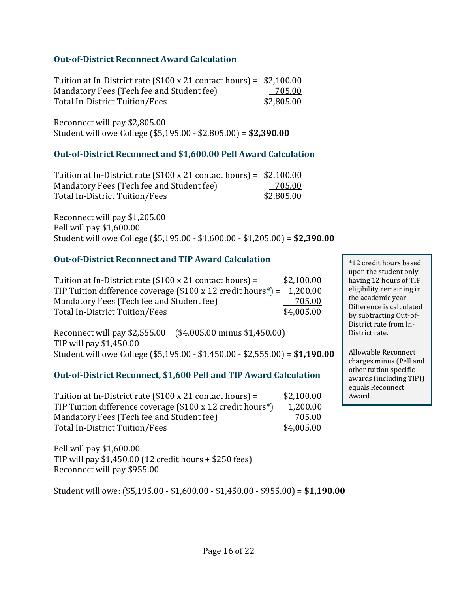#### <span id="page-16-0"></span>**Out-of-District Reconnect Award Calculation**

Tuition at In-District rate (\$100 x 21 contact hours) = \$2,100.00 Mandatory Fees (Tech fee and Student fee) 705.00 Total In-District Tuition/Fees \$2,805.00

Reconnect will pay \$2,805.00 Student will owe College (\$5,195.00 - \$2,805.00) = **\$2,390.00**

#### <span id="page-16-1"></span>**Out-of-District Reconnect and \$1,600.00 Pell Award Calculation**

| Tuition at In-District rate $(\$100 \times 21$ contact hours) = $\$2,100.00$ |            |
|------------------------------------------------------------------------------|------------|
| Mandatory Fees (Tech fee and Student fee)                                    | 705.00     |
| Total In-District Tuition/Fees                                               | \$2,805.00 |

Reconnect will pay \$1,205.00 Pell will pay \$1,600.00 Student will owe College (\$5,195.00 - \$1,600.00 - \$1,205.00) = **\$2,390.00**

#### <span id="page-16-2"></span>**Out-of-District Reconnect and TIP Award Calculation**

| Tuition at In-District rate $($100 \times 21 \text{ contact hours}) =$                    | \$2,100.00 |
|-------------------------------------------------------------------------------------------|------------|
| TIP Tuition difference coverage $(\$100 \times 12$ credit hours <sup>*</sup> ) = 1,200.00 |            |
| Mandatory Fees (Tech fee and Student fee)                                                 | 705.00     |
| Total In-District Tuition/Fees                                                            | \$4,005.00 |

Reconnect will pay \$2,555.00 = (\$4,005.00 minus \$1,450.00) TIP will pay \$1,450.00 Student will owe College (\$5,195.00 - \$1,450.00 - \$2,555.00) = **\$1,190.00**

#### <span id="page-16-3"></span>**Out-of-District Reconnect, \$1,600 Pell and TIP Award Calculation**

Tuition at In-District rate  $(\$100 \times 21$  contact hours) =  $\$2,100.00$ TIP Tuition difference coverage (\$100 x 12 credit hours**\***) = 1,200.00 Mandatory Fees (Tech fee and Student fee) 705.00 Total In-District Tuition/Fees \$4,005.00

Pell will pay \$1,600.00 TIP will pay \$1,450.00 (12 credit hours + \$250 fees) Reconnect will pay \$955.00

Student will owe: (\$5,195.00 - \$1,600.00 - \$1,450.00 - \$955.00) = **\$1,190.00**

**\***12 credit hours based upon the student only having 12 hours of TIP eligibility remaining in the academic year. Difference is calculated by subtracting Out-of-District rate from In-District rate.

Allowable Reconnect charges minus (Pell and other tuition specific awards (including TIP)) equals Reconnect Award.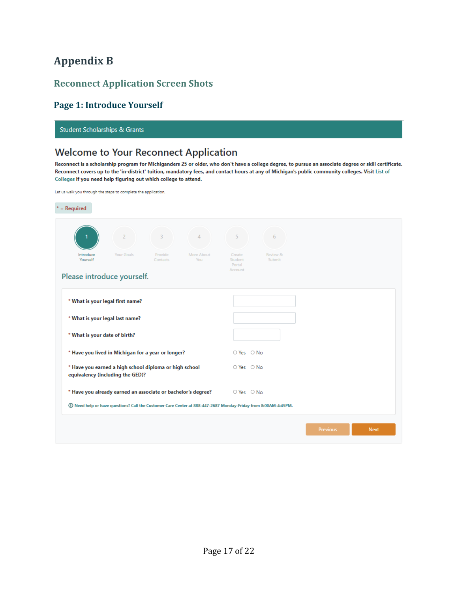### <span id="page-17-0"></span>**Appendix B**

#### <span id="page-17-1"></span>**Reconnect Application Screen Shots**

#### <span id="page-17-2"></span>**Page 1: Introduce Yourself**

**Student Scholarships & Grants** 

### **Welcome to Your Reconnect Application**

Reconnect is a scholarship program for Michiganders 25 or older, who don't have a college degree, to pursue an associate degree or skill certificate. Reconnect covers up to the 'in-district' tuition, mandatory fees, and contact hours at any of Michigan's public community colleges. Visit List of Colleges if you need help figuring out which college to attend.

| Let us walk you through the steps to complete the application. |  |
|----------------------------------------------------------------|--|
|----------------------------------------------------------------|--|

| $*$ = Required                   |                                                                                                                |                     |                   |                                        |                              |                 |             |
|----------------------------------|----------------------------------------------------------------------------------------------------------------|---------------------|-------------------|----------------------------------------|------------------------------|-----------------|-------------|
|                                  | $\overline{2}$                                                                                                 | 3                   | 4                 | 5                                      | 6                            |                 |             |
| Introduce<br>Yourself            | Your Goals                                                                                                     | Provide<br>Contacts | More About<br>You | Create<br>Student<br>Portal<br>Account | Review &<br>Submit           |                 |             |
| Please introduce yourself.       |                                                                                                                |                     |                   |                                        |                              |                 |             |
| * What is your legal first name? |                                                                                                                |                     |                   |                                        |                              |                 |             |
| * What is your legal last name?  |                                                                                                                |                     |                   |                                        |                              |                 |             |
|                                  | * What is your date of birth?                                                                                  |                     |                   |                                        |                              |                 |             |
|                                  | * Have you lived in Michigan for a year or longer?                                                             |                     |                   |                                        | $\bigcirc$ Yes $\bigcirc$ No |                 |             |
|                                  | * Have you earned a high school diploma or high school<br>equivalency (including the GED)?                     |                     |                   | $\bigcirc$ Yes $\bigcirc$ No           |                              |                 |             |
|                                  | * Have you already earned an associate or bachelor's degree?                                                   |                     |                   | $\bigcirc$ Yes $\bigcirc$ No           |                              |                 |             |
|                                  | ① Need help or have questions? Call the Customer Care Center at 888-447-2687 Monday-Friday from 8:00AM-4:45PM. |                     |                   |                                        |                              |                 |             |
|                                  |                                                                                                                |                     |                   |                                        |                              | <b>Previous</b> | <b>Next</b> |
|                                  |                                                                                                                |                     |                   |                                        |                              |                 |             |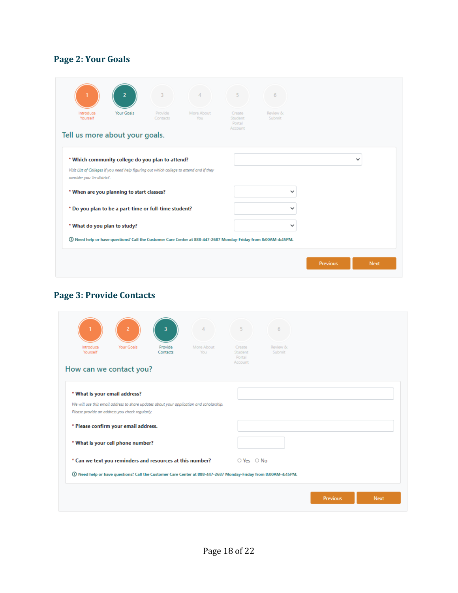### <span id="page-18-0"></span>**Page 2: Your Goals**

| Introduce<br>Yourself       | Your Goals                                                                               | Provide<br>Contacts | More About<br>You                                                                                              | Create<br>Student | <b>Review &amp;</b><br>Submit |              |
|-----------------------------|------------------------------------------------------------------------------------------|---------------------|----------------------------------------------------------------------------------------------------------------|-------------------|-------------------------------|--------------|
|                             | Tell us more about your goals.                                                           |                     |                                                                                                                | Portal<br>Account |                               |              |
|                             | * Which community college do you plan to attend?                                         |                     |                                                                                                                |                   |                               | $\checkmark$ |
| consider you 'in-district'. | Visit List of Colleges if you need help figuring out which college to attend and if they |                     |                                                                                                                |                   |                               |              |
|                             | * When are you planning to start classes?                                                |                     |                                                                                                                |                   | $\checkmark$                  |              |
|                             | * Do you plan to be a part-time or full-time student?                                    |                     |                                                                                                                |                   | $\check{ }$                   |              |
|                             | * What do you plan to study?                                                             |                     |                                                                                                                |                   | $\check{ }$                   |              |
|                             |                                                                                          |                     | ① Need help or have questions? Call the Customer Care Center at 888-447-2687 Monday-Friday from 8:00AM-4:45PM. |                   |                               |              |

### <span id="page-18-1"></span>**Page 3: Provide Contacts**

| Introduce<br>Yourself | Your Goals                                                                | Provide<br>Contacts | More About<br>You                                                                       | Create<br>Student<br>Portal<br>Account | <b>Review &amp;</b><br>Submit |  |
|-----------------------|---------------------------------------------------------------------------|---------------------|-----------------------------------------------------------------------------------------|----------------------------------------|-------------------------------|--|
|                       | How can we contact you?<br>* What is your email address?                  |                     |                                                                                         |                                        |                               |  |
|                       | Please provide an address you check regularly.                            |                     | We will use this email address to share updates about your application and scholarship. |                                        |                               |  |
|                       | * Please confirm your email address.<br>* What is your cell phone number? |                     |                                                                                         |                                        |                               |  |
|                       | * Can we text you reminders and resources at this number?                 |                     |                                                                                         | $\bigcirc$ Yes $\bigcirc$ No           |                               |  |
|                       |                                                                           |                     |                                                                                         |                                        |                               |  |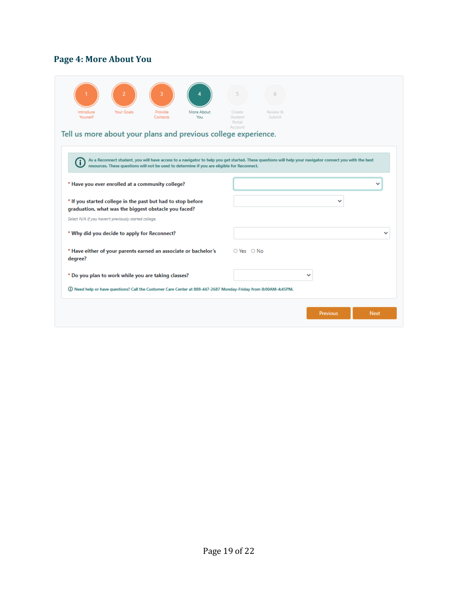### <span id="page-19-0"></span>**Page 4: More About You**

| Yourself<br>Submit<br>Contacts<br>You<br>Student<br>Portal<br>Account<br>Tell us more about your plans and previous college experience.<br>As a Reconnect student, you will have access to a navigator to help you get started. These questions will help your navigator connect you with the best<br>resources. These questions will not be used to determine if you are eligible for Reconnect.<br>* Have you ever enrolled at a community college?<br>* If you started college in the past but had to stop before<br>ີ<br>graduation, what was the biggest obstacle you faced?<br>Select N/A if you haven't previously started college.<br>* Why did you decide to apply for Reconnect?<br>* Have either of your parents earned an associate or bachelor's<br>$\circ$ Yes $\circ$ No<br>degree?<br>* Do you plan to work while you are taking classes?<br>$\check{ }$<br>① Need help or have questions? Call the Customer Care Center at 888-447-2687 Monday-Friday from 8:00AM-4:45PM.<br><b>Next</b><br><b>Previous</b> |           |            |         |            | 5      | 6                   |  |
|------------------------------------------------------------------------------------------------------------------------------------------------------------------------------------------------------------------------------------------------------------------------------------------------------------------------------------------------------------------------------------------------------------------------------------------------------------------------------------------------------------------------------------------------------------------------------------------------------------------------------------------------------------------------------------------------------------------------------------------------------------------------------------------------------------------------------------------------------------------------------------------------------------------------------------------------------------------------------------------------------------------------------|-----------|------------|---------|------------|--------|---------------------|--|
|                                                                                                                                                                                                                                                                                                                                                                                                                                                                                                                                                                                                                                                                                                                                                                                                                                                                                                                                                                                                                              | Introduce | Your Goals | Provide | More About | Create | <b>Review &amp;</b> |  |
|                                                                                                                                                                                                                                                                                                                                                                                                                                                                                                                                                                                                                                                                                                                                                                                                                                                                                                                                                                                                                              |           |            |         |            |        |                     |  |
|                                                                                                                                                                                                                                                                                                                                                                                                                                                                                                                                                                                                                                                                                                                                                                                                                                                                                                                                                                                                                              |           |            |         |            |        |                     |  |
|                                                                                                                                                                                                                                                                                                                                                                                                                                                                                                                                                                                                                                                                                                                                                                                                                                                                                                                                                                                                                              |           |            |         |            |        |                     |  |
|                                                                                                                                                                                                                                                                                                                                                                                                                                                                                                                                                                                                                                                                                                                                                                                                                                                                                                                                                                                                                              |           |            |         |            |        |                     |  |
|                                                                                                                                                                                                                                                                                                                                                                                                                                                                                                                                                                                                                                                                                                                                                                                                                                                                                                                                                                                                                              |           |            |         |            |        |                     |  |
|                                                                                                                                                                                                                                                                                                                                                                                                                                                                                                                                                                                                                                                                                                                                                                                                                                                                                                                                                                                                                              |           |            |         |            |        |                     |  |
|                                                                                                                                                                                                                                                                                                                                                                                                                                                                                                                                                                                                                                                                                                                                                                                                                                                                                                                                                                                                                              |           |            |         |            |        |                     |  |
|                                                                                                                                                                                                                                                                                                                                                                                                                                                                                                                                                                                                                                                                                                                                                                                                                                                                                                                                                                                                                              |           |            |         |            |        |                     |  |
|                                                                                                                                                                                                                                                                                                                                                                                                                                                                                                                                                                                                                                                                                                                                                                                                                                                                                                                                                                                                                              |           |            |         |            |        |                     |  |
|                                                                                                                                                                                                                                                                                                                                                                                                                                                                                                                                                                                                                                                                                                                                                                                                                                                                                                                                                                                                                              |           |            |         |            |        |                     |  |
|                                                                                                                                                                                                                                                                                                                                                                                                                                                                                                                                                                                                                                                                                                                                                                                                                                                                                                                                                                                                                              |           |            |         |            |        |                     |  |
|                                                                                                                                                                                                                                                                                                                                                                                                                                                                                                                                                                                                                                                                                                                                                                                                                                                                                                                                                                                                                              |           |            |         |            |        |                     |  |
|                                                                                                                                                                                                                                                                                                                                                                                                                                                                                                                                                                                                                                                                                                                                                                                                                                                                                                                                                                                                                              |           |            |         |            |        |                     |  |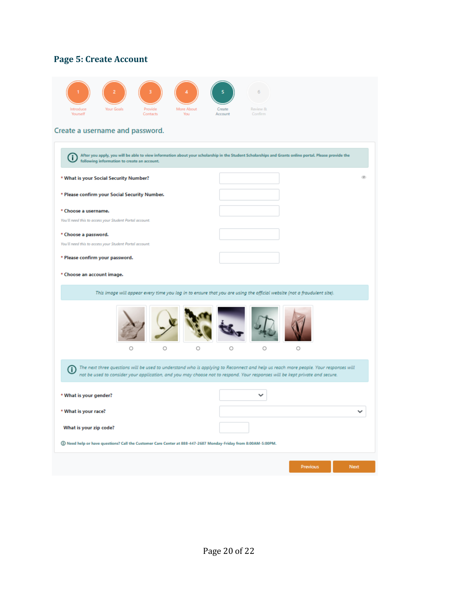### <span id="page-20-0"></span>**Page 5: Create Account**

|                                                                                                                  |                                                                                                                                                                                                                                                                     |                    |                   | 6                   |          |      |
|------------------------------------------------------------------------------------------------------------------|---------------------------------------------------------------------------------------------------------------------------------------------------------------------------------------------------------------------------------------------------------------------|--------------------|-------------------|---------------------|----------|------|
| Your Goals<br>Introduce<br>Yourself                                                                              | Provide<br>Contacts                                                                                                                                                                                                                                                 | More About<br>You. | Create<br>Account | Review &<br>Confirm |          |      |
| Create a username and password.                                                                                  |                                                                                                                                                                                                                                                                     |                    |                   |                     |          |      |
| Œ<br>following information to create an account.                                                                 | After you apply, you will be able to view information about your scholarship in the Student Scholarships and Grants online portal. Please provide the                                                                                                               |                    |                   |                     |          |      |
| * What is your Social Security Number?                                                                           |                                                                                                                                                                                                                                                                     |                    |                   |                     |          |      |
| * Please confirm your Social Security Number.                                                                    |                                                                                                                                                                                                                                                                     |                    |                   |                     |          |      |
| * Choose a username.                                                                                             |                                                                                                                                                                                                                                                                     |                    |                   |                     |          |      |
| You'll need this to access your Student Portal account.<br>* Choose a password.                                  |                                                                                                                                                                                                                                                                     |                    |                   |                     |          |      |
| You'll need this to access your Student Portal account.                                                          |                                                                                                                                                                                                                                                                     |                    |                   |                     |          |      |
| * Please confirm your password.                                                                                  |                                                                                                                                                                                                                                                                     |                    |                   |                     |          |      |
| * Choose an account image.                                                                                       |                                                                                                                                                                                                                                                                     |                    |                   |                     |          |      |
|                                                                                                                  | This image will appear every time you log in to ensure that you are using the official website (not a fraudulent site).                                                                                                                                             |                    |                   |                     |          |      |
|                                                                                                                  |                                                                                                                                                                                                                                                                     |                    |                   |                     |          |      |
|                                                                                                                  | Ο<br>Ο                                                                                                                                                                                                                                                              | O                  | O                 | Ο                   | Ο        |      |
| Œ                                                                                                                | The next three questions will be used to understand who is applying to Reconnect and help us reach more people. Your responses will<br>not be used to consider your application, and you may choose not to respond. Your responses will be kept private and secure. |                    |                   |                     |          |      |
| * What is your gender?                                                                                           |                                                                                                                                                                                                                                                                     |                    |                   | $\checkmark$        |          |      |
| * What is your race?                                                                                             |                                                                                                                                                                                                                                                                     |                    |                   |                     |          |      |
| What is your zip code?                                                                                           |                                                                                                                                                                                                                                                                     |                    |                   |                     |          |      |
| (I) Need help or have questions? Call the Customer Care Center at 888-447-2687 Monday-Friday from 8:00AM-5:00PM. |                                                                                                                                                                                                                                                                     |                    |                   |                     |          |      |
|                                                                                                                  |                                                                                                                                                                                                                                                                     |                    |                   |                     | Previous | Next |
|                                                                                                                  |                                                                                                                                                                                                                                                                     |                    |                   |                     |          |      |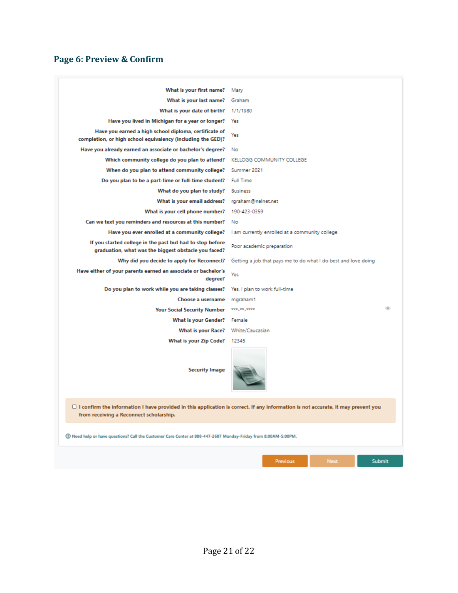### <span id="page-21-0"></span>**Page 6: Preview & Confirm**

| What is your first name?                                                                                                                                                           | Mary                                                           |
|------------------------------------------------------------------------------------------------------------------------------------------------------------------------------------|----------------------------------------------------------------|
| What is your last name?                                                                                                                                                            | Graham                                                         |
| What is your date of birth?                                                                                                                                                        | 1/1/1980                                                       |
| Have you lived in Michigan for a year or longer?                                                                                                                                   | Yes                                                            |
| Have you earned a high school diploma, certificate of<br>completion, or high school equivalency (including the GED)?                                                               | Yes                                                            |
| Have you already earned an associate or bachelor's degree?                                                                                                                         | No                                                             |
| Which community college do you plan to attend?                                                                                                                                     | KELLOGG COMMUNITY COLLEGE                                      |
| When do you plan to attend community college?                                                                                                                                      | Summer 2021                                                    |
| Do you plan to be a part-time or full-time student?                                                                                                                                | <b>Full Time</b>                                               |
| What do you plan to study?                                                                                                                                                         | <b>Business</b>                                                |
| What is your email address?                                                                                                                                                        | rgraham@nelnet.net                                             |
| What is your cell phone number?                                                                                                                                                    | 190-423-0359                                                   |
| Can we text you reminders and resources at this number?                                                                                                                            | No                                                             |
| Have you ever enrolled at a community college?                                                                                                                                     | I am currently enrolled at a community college                 |
| If you started college in the past but had to stop before<br>graduation, what was the biggest obstacle you faced?                                                                  | Poor academic preparation                                      |
| Why did you decide to apply for Reconnect?                                                                                                                                         | Getting a job that pays me to do what I do best and love doing |
| Have either of your parents earned an associate or bachelor's<br>degree?                                                                                                           | Yes                                                            |
| Do you plan to work while you are taking classes?                                                                                                                                  | Yes, I plan to work full-time                                  |
| Choose a username                                                                                                                                                                  | mgraham1                                                       |
| <b>Your Social Security Number</b>                                                                                                                                                 | ***_**_****                                                    |
| <b>What is your Gender?</b>                                                                                                                                                        | Female                                                         |
| <b>What is your Race?</b>                                                                                                                                                          | White/Caucasian                                                |
| What is your Zip Code?                                                                                                                                                             | 12345                                                          |
| <b>Security Image</b>                                                                                                                                                              |                                                                |
| $\Box$ I confirm the information I have provided in this application is correct. If any information is not accurate, it may prevent you<br>from receiving a Reconnect scholarship. |                                                                |
| (i) Need help or have questions? Call the Customer Care Center at 888-447-2687 Monday-Friday from 8:00AM-5:00PM.                                                                   |                                                                |
|                                                                                                                                                                                    | Previous<br><b>Submit</b><br><b>Next</b>                       |